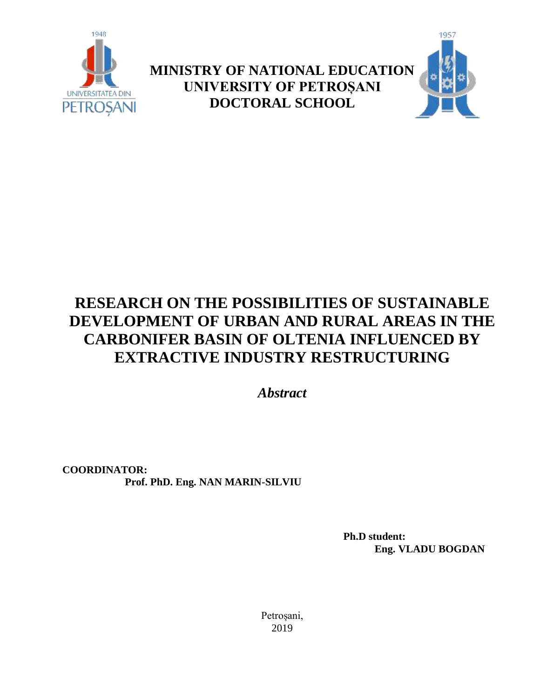

**MINISTRY OF NATIONAL EDUCATION UNIVERSITY OF PETROȘANI DOCTORAL SCHOOL**



# **RESEARCH ON THE POSSIBILITIES OF SUSTAINABLE DEVELOPMENT OF URBAN AND RURAL AREAS IN THE CARBONIFER BASIN OF OLTENIA INFLUENCED BY EXTRACTIVE INDUSTRY RESTRUCTURING**

*Abstract*

**COORDINATOR: Prof. PhD. Eng. NAN MARIN-SILVIU**

> **Ph.D student: Eng. VLADU BOGDAN**

Petroșani, 2019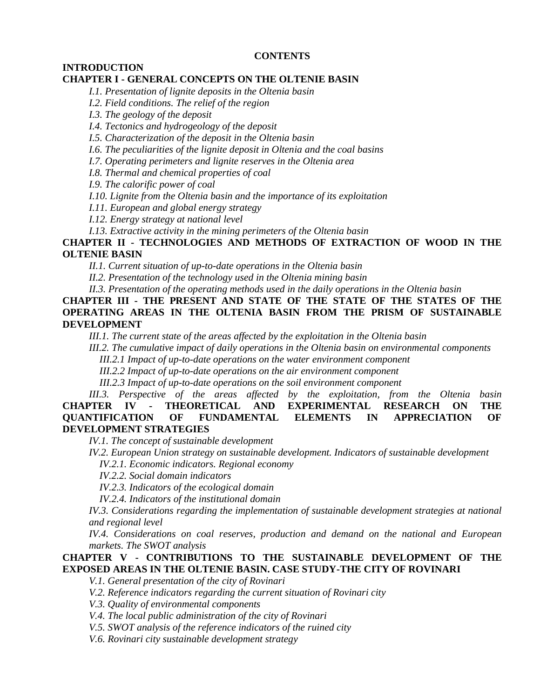#### **CONTENTS**

**INTRODUCTION**

## **CHAPTER I - GENERAL CONCEPTS ON THE OLTENIE BASIN**

*I.1. Presentation of lignite deposits in the Oltenia basin*

*I.2. Field conditions. The relief of the region*

*I.3. The geology of the deposit*

*I.4. Tectonics and hydrogeology of the deposit*

*I.5. Characterization of the deposit in the Oltenia basin*

*I.6. The peculiarities of the lignite deposit in Oltenia and the coal basins*

*I.7. Operating perimeters and lignite reserves in the Oltenia area*

*I.8. Thermal and chemical properties of coal*

*I.9. The calorific power of coal*

*I.10. Lignite from the Oltenia basin and the importance of its exploitation*

*I.11. European and global energy strategy*

*I.12. Energy strategy at national level*

*I.13. Extractive activity in the mining perimeters of the Oltenia basin*

## **CHAPTER II - TECHNOLOGIES AND METHODS OF EXTRACTION OF WOOD IN THE OLTENIE BASIN**

*II.1. Current situation of up-to-date operations in the Oltenia basin*

*II.2. Presentation of the technology used in the Oltenia mining basin*

*II.3. Presentation of the operating methods used in the daily operations in the Oltenia basin*

**CHAPTER III - THE PRESENT AND STATE OF THE STATE OF THE STATES OF THE OPERATING AREAS IN THE OLTENIA BASIN FROM THE PRISM OF SUSTAINABLE DEVELOPMENT**

*III.1. The current state of the areas affected by the exploitation in the Oltenia basin*

*III.2. The cumulative impact of daily operations in the Oltenia basin on environmental components*

*III.2.1 Impact of up-to-date operations on the water environment component*

*III.2.2 Impact of up-to-date operations on the air environment component*

*III.2.3 Impact of up-to-date operations on the soil environment component*

*III.3. Perspective of the areas affected by the exploitation, from the Oltenia basin* **CHAPTER IV - THEORETICAL AND EXPERIMENTAL RESEARCH ON THE QUANTIFICATION OF FUNDAMENTAL ELEMENTS IN APPRECIATION OF DEVELOPMENT STRATEGIES**

*IV.1. The concept of sustainable development*

*IV.2. European Union strategy on sustainable development. Indicators of sustainable development IV.2.1. Economic indicators. Regional economy*

*IV.2.2. Social domain indicators*

*IV.2.3. Indicators of the ecological domain*

*IV.2.4. Indicators of the institutional domain*

*IV.3. Considerations regarding the implementation of sustainable development strategies at national and regional level*

*IV.4. Considerations on coal reserves, production and demand on the national and European markets. The SWOT analysis*

## **CHAPTER V - CONTRIBUTIONS TO THE SUSTAINABLE DEVELOPMENT OF THE EXPOSED AREAS IN THE OLTENIE BASIN. CASE STUDY-THE CITY OF ROVINARI**

*V.1. General presentation of the city of Rovinari*

*V.2. Reference indicators regarding the current situation of Rovinari city*

*V.3. Quality of environmental components*

*V.4. The local public administration of the city of Rovinari*

*V.5. SWOT analysis of the reference indicators of the ruined city*

*V.6. Rovinari city sustainable development strategy*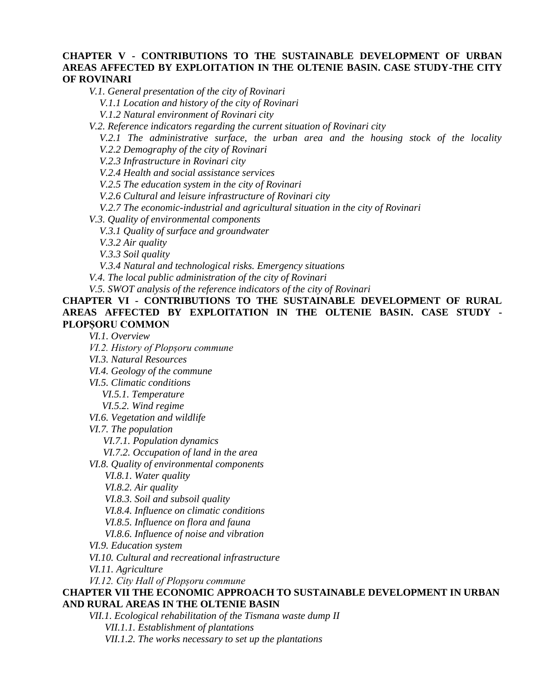## **CHAPTER V - CONTRIBUTIONS TO THE SUSTAINABLE DEVELOPMENT OF URBAN AREAS AFFECTED BY EXPLOITATION IN THE OLTENIE BASIN. CASE STUDY-THE CITY OF ROVINARI**

*V.1. General presentation of the city of Rovinari*

*V.1.1 Location and history of the city of Rovinari*

*V.1.2 Natural environment of Rovinari city*

*V.2. Reference indicators regarding the current situation of Rovinari city*

*V.2.1 The administrative surface, the urban area and the housing stock of the locality V.2.2 Demography of the city of Rovinari*

*V.2.3 Infrastructure in Rovinari city*

*V.2.4 Health and social assistance services*

*V.2.5 The education system in the city of Rovinari*

*V.2.6 Cultural and leisure infrastructure of Rovinari city*

*V.2.7 The economic-industrial and agricultural situation in the city of Rovinari*

*V.3. Quality of environmental components*

*V.3.1 Quality of surface and groundwater*

*V.3.2 Air quality*

*V.3.3 Soil quality*

*V.3.4 Natural and technological risks. Emergency situations*

*V.4. The local public administration of the city of Rovinari*

*V.5. SWOT analysis of the reference indicators of the city of Rovinari*

**CHAPTER VI - CONTRIBUTIONS TO THE SUSTAINABLE DEVELOPMENT OF RURAL AREAS AFFECTED BY EXPLOITATION IN THE OLTENIE BASIN. CASE STUDY - PLOPȘORU COMMON**

*VI.1. Overview*

*VI.2. History of Plopșoru commune*

*VI.3. Natural Resources*

*VI.4. Geology of the commune*

*VI.5. Climatic conditions*

*VI.5.1. Temperature*

*VI.5.2. Wind regime*

*VI.6. Vegetation and wildlife*

*VI.7. The population*

*VI.7.1. Population dynamics*

*VI.7.2. Occupation of land in the area*

*VI.8. Quality of environmental components*

*VI.8.1. Water quality*

*VI.8.2. Air quality*

*VI.8.3. Soil and subsoil quality*

*VI.8.4. Influence on climatic conditions*

*VI.8.5. Influence on flora and fauna*

*VI.8.6. Influence of noise and vibration*

*VI.9. Education system*

*VI.10. Cultural and recreational infrastructure*

*VI.11. Agriculture*

*VI.12. City Hall of Plopșoru commune*

#### **CHAPTER VII THE ECONOMIC APPROACH TO SUSTAINABLE DEVELOPMENT IN URBAN AND RURAL AREAS IN THE OLTENIE BASIN**

*VII.1. Ecological rehabilitation of the Tismana waste dump II*

*VII.1.1. Establishment of plantations*

*VII.1.2. The works necessary to set up the plantations*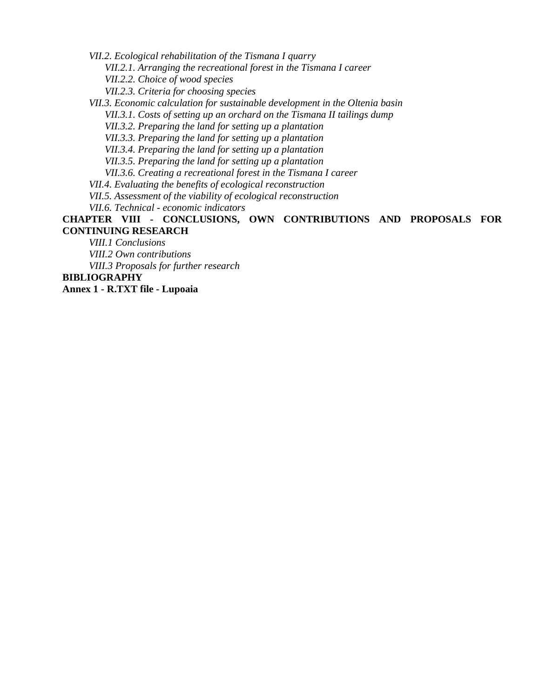*VII.2. Ecological rehabilitation of the Tismana I quarry*

*VII.2.1. Arranging the recreational forest in the Tismana I career*

*VII.2.2. Choice of wood species*

*VII.2.3. Criteria for choosing species*

*VII.3. Economic calculation for sustainable development in the Oltenia basin*

*VII.3.1. Costs of setting up an orchard on the Tismana II tailings dump*

*VII.3.2. Preparing the land for setting up a plantation*

*VII.3.3. Preparing the land for setting up a plantation*

*VII.3.4. Preparing the land for setting up a plantation*

*VII.3.5. Preparing the land for setting up a plantation*

*VII.3.6. Creating a recreational forest in the Tismana I career*

*VII.4. Evaluating the benefits of ecological reconstruction*

*VII.5. Assessment of the viability of ecological reconstruction*

*VII.6. Technical - economic indicators*

**CHAPTER VIII - CONCLUSIONS, OWN CONTRIBUTIONS AND PROPOSALS FOR CONTINUING RESEARCH**

*VIII.1 Conclusions*

*VIII.2 Own contributions*

*VIII.3 Proposals for further research*

**BIBLIOGRAPHY**

**Annex 1 - R.TXT file - Lupoaia**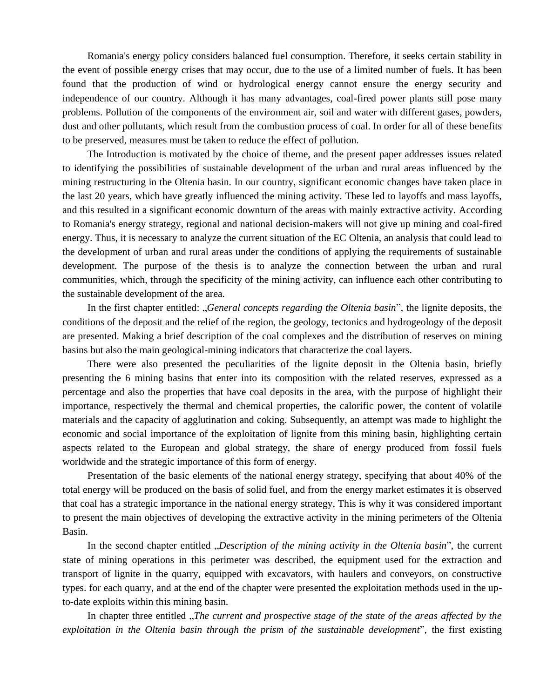Romania's energy policy considers balanced fuel consumption. Therefore, it seeks certain stability in the event of possible energy crises that may occur, due to the use of a limited number of fuels. It has been found that the production of wind or hydrological energy cannot ensure the energy security and independence of our country. Although it has many advantages, coal-fired power plants still pose many problems. Pollution of the components of the environment air, soil and water with different gases, powders, dust and other pollutants, which result from the combustion process of coal. In order for all of these benefits to be preserved, measures must be taken to reduce the effect of pollution.

The Introduction is motivated by the choice of theme, and the present paper addresses issues related to identifying the possibilities of sustainable development of the urban and rural areas influenced by the mining restructuring in the Oltenia basin. In our country, significant economic changes have taken place in the last 20 years, which have greatly influenced the mining activity. These led to layoffs and mass layoffs, and this resulted in a significant economic downturn of the areas with mainly extractive activity. According to Romania's energy strategy, regional and national decision-makers will not give up mining and coal-fired energy. Thus, it is necessary to analyze the current situation of the EC Oltenia, an analysis that could lead to the development of urban and rural areas under the conditions of applying the requirements of sustainable development. The purpose of the thesis is to analyze the connection between the urban and rural communities, which, through the specificity of the mining activity, can influence each other contributing to the sustainable development of the area.

In the first chapter entitled: "*General concepts regarding the Oltenia basin*", the lignite deposits, the conditions of the deposit and the relief of the region, the geology, tectonics and hydrogeology of the deposit are presented. Making a brief description of the coal complexes and the distribution of reserves on mining basins but also the main geological-mining indicators that characterize the coal layers.

There were also presented the peculiarities of the lignite deposit in the Oltenia basin, briefly presenting the 6 mining basins that enter into its composition with the related reserves, expressed as a percentage and also the properties that have coal deposits in the area, with the purpose of highlight their importance, respectively the thermal and chemical properties, the calorific power, the content of volatile materials and the capacity of agglutination and coking. Subsequently, an attempt was made to highlight the economic and social importance of the exploitation of lignite from this mining basin, highlighting certain aspects related to the European and global strategy, the share of energy produced from fossil fuels worldwide and the strategic importance of this form of energy.

Presentation of the basic elements of the national energy strategy, specifying that about 40% of the total energy will be produced on the basis of solid fuel, and from the energy market estimates it is observed that coal has a strategic importance in the national energy strategy, This is why it was considered important to present the main objectives of developing the extractive activity in the mining perimeters of the Oltenia Basin.

In the second chapter entitled *"Description of the mining activity in the Oltenia basin*", the current state of mining operations in this perimeter was described, the equipment used for the extraction and transport of lignite in the quarry, equipped with excavators, with haulers and conveyors, on constructive types. for each quarry, and at the end of the chapter were presented the exploitation methods used in the upto-date exploits within this mining basin.

In chapter three entitled "*The current and prospective stage of the state of the areas affected by the exploitation in the Oltenia basin through the prism of the sustainable development*", the first existing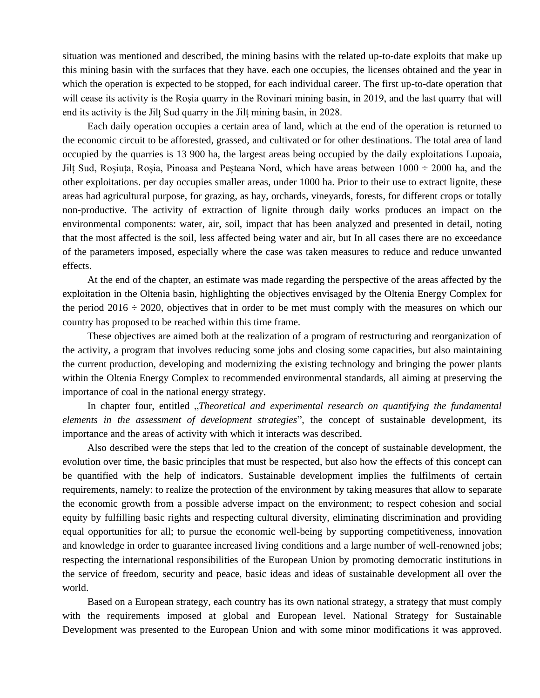situation was mentioned and described, the mining basins with the related up-to-date exploits that make up this mining basin with the surfaces that they have. each one occupies, the licenses obtained and the year in which the operation is expected to be stopped, for each individual career. The first up-to-date operation that will cease its activity is the Rosia quarry in the Rovinari mining basin, in 2019, and the last quarry that will end its activity is the Jilț Sud quarry in the Jilț mining basin, in 2028.

Each daily operation occupies a certain area of land, which at the end of the operation is returned to the economic circuit to be afforested, grassed, and cultivated or for other destinations. The total area of land occupied by the quarries is 13 900 ha, the largest areas being occupied by the daily exploitations Lupoaia, Jilț Sud, Roșiuța, Roșia, Pinoasa and Peșteana Nord, which have areas between 1000 ÷ 2000 ha, and the other exploitations. per day occupies smaller areas, under 1000 ha. Prior to their use to extract lignite, these areas had agricultural purpose, for grazing, as hay, orchards, vineyards, forests, for different crops or totally non-productive. The activity of extraction of lignite through daily works produces an impact on the environmental components: water, air, soil, impact that has been analyzed and presented in detail, noting that the most affected is the soil, less affected being water and air, but In all cases there are no exceedance of the parameters imposed, especially where the case was taken measures to reduce and reduce unwanted effects.

At the end of the chapter, an estimate was made regarding the perspective of the areas affected by the exploitation in the Oltenia basin, highlighting the objectives envisaged by the Oltenia Energy Complex for the period  $2016 \div 2020$ , objectives that in order to be met must comply with the measures on which our country has proposed to be reached within this time frame.

These objectives are aimed both at the realization of a program of restructuring and reorganization of the activity, a program that involves reducing some jobs and closing some capacities, but also maintaining the current production, developing and modernizing the existing technology and bringing the power plants within the Oltenia Energy Complex to recommended environmental standards, all aiming at preserving the importance of coal in the national energy strategy.

In chapter four, entitled *"Theoretical and experimental research on quantifying the fundamental elements in the assessment of development strategies*", the concept of sustainable development, its importance and the areas of activity with which it interacts was described.

Also described were the steps that led to the creation of the concept of sustainable development, the evolution over time, the basic principles that must be respected, but also how the effects of this concept can be quantified with the help of indicators. Sustainable development implies the fulfilments of certain requirements, namely: to realize the protection of the environment by taking measures that allow to separate the economic growth from a possible adverse impact on the environment; to respect cohesion and social equity by fulfilling basic rights and respecting cultural diversity, eliminating discrimination and providing equal opportunities for all; to pursue the economic well-being by supporting competitiveness, innovation and knowledge in order to guarantee increased living conditions and a large number of well-renowned jobs; respecting the international responsibilities of the European Union by promoting democratic institutions in the service of freedom, security and peace, basic ideas and ideas of sustainable development all over the world.

Based on a European strategy, each country has its own national strategy, a strategy that must comply with the requirements imposed at global and European level. National Strategy for Sustainable Development was presented to the European Union and with some minor modifications it was approved.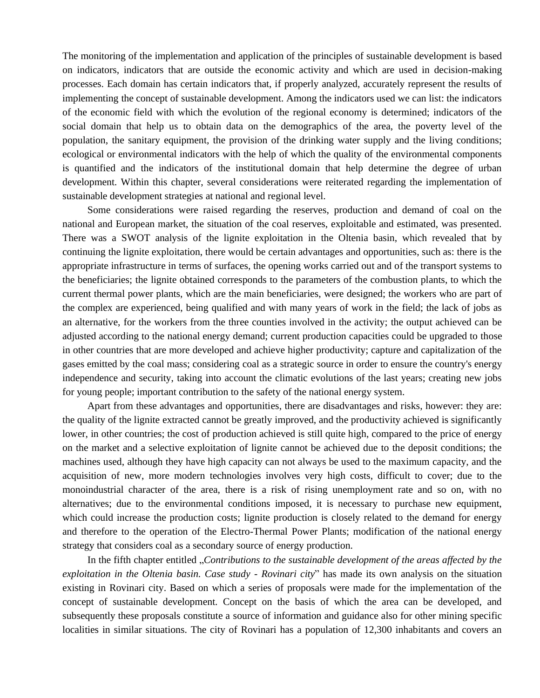The monitoring of the implementation and application of the principles of sustainable development is based on indicators, indicators that are outside the economic activity and which are used in decision-making processes. Each domain has certain indicators that, if properly analyzed, accurately represent the results of implementing the concept of sustainable development. Among the indicators used we can list: the indicators of the economic field with which the evolution of the regional economy is determined; indicators of the social domain that help us to obtain data on the demographics of the area, the poverty level of the population, the sanitary equipment, the provision of the drinking water supply and the living conditions; ecological or environmental indicators with the help of which the quality of the environmental components is quantified and the indicators of the institutional domain that help determine the degree of urban development. Within this chapter, several considerations were reiterated regarding the implementation of sustainable development strategies at national and regional level.

Some considerations were raised regarding the reserves, production and demand of coal on the national and European market, the situation of the coal reserves, exploitable and estimated, was presented. There was a SWOT analysis of the lignite exploitation in the Oltenia basin, which revealed that by continuing the lignite exploitation, there would be certain advantages and opportunities, such as: there is the appropriate infrastructure in terms of surfaces, the opening works carried out and of the transport systems to the beneficiaries; the lignite obtained corresponds to the parameters of the combustion plants, to which the current thermal power plants, which are the main beneficiaries, were designed; the workers who are part of the complex are experienced, being qualified and with many years of work in the field; the lack of jobs as an alternative, for the workers from the three counties involved in the activity; the output achieved can be adjusted according to the national energy demand; current production capacities could be upgraded to those in other countries that are more developed and achieve higher productivity; capture and capitalization of the gases emitted by the coal mass; considering coal as a strategic source in order to ensure the country's energy independence and security, taking into account the climatic evolutions of the last years; creating new jobs for young people; important contribution to the safety of the national energy system.

Apart from these advantages and opportunities, there are disadvantages and risks, however: they are: the quality of the lignite extracted cannot be greatly improved, and the productivity achieved is significantly lower, in other countries; the cost of production achieved is still quite high, compared to the price of energy on the market and a selective exploitation of lignite cannot be achieved due to the deposit conditions; the machines used, although they have high capacity can not always be used to the maximum capacity, and the acquisition of new, more modern technologies involves very high costs, difficult to cover; due to the monoindustrial character of the area, there is a risk of rising unemployment rate and so on, with no alternatives; due to the environmental conditions imposed, it is necessary to purchase new equipment, which could increase the production costs; lignite production is closely related to the demand for energy and therefore to the operation of the Electro-Thermal Power Plants; modification of the national energy strategy that considers coal as a secondary source of energy production.

In the fifth chapter entitled "*Contributions to the sustainable development of the areas affected by the exploitation in the Oltenia basin. Case study - Rovinari city*" has made its own analysis on the situation existing in Rovinari city. Based on which a series of proposals were made for the implementation of the concept of sustainable development. Concept on the basis of which the area can be developed, and subsequently these proposals constitute a source of information and guidance also for other mining specific localities in similar situations. The city of Rovinari has a population of 12,300 inhabitants and covers an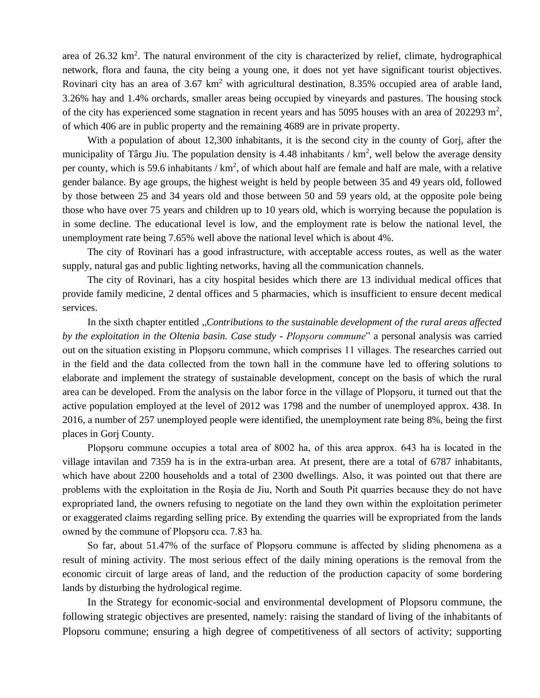area of 26.32 km<sup>2</sup>. The natural environment of the city is characterized by relief, climate, hydrographical network, flora and fauna, the city being a young one, it does not yet have significant tourist objectives. Rovinari city has an area of  $3.67 \text{ km}^2$  with agricultural destination,  $8.35\%$  occupied area of arable land, 3.26% hay and 1.4% orchards, smaller areas being occupied by vineyards and pastures. The housing stock of the city has experienced some stagnation in recent years and has 5095 houses with an area of 202293 m<sup>2</sup>, of which 406 are in public property and the remaining 4689 are in private property.

With a population of about 12,300 inhabitants, it is the second city in the county of Gorj, after the municipality of Târgu Jiu. The population density is 4.48 inhabitants /  $km^2$ , well below the average density per county, which is 59.6 inhabitants /  $km^2$ , of which about half are female and half are male, with a relative gender balance. By age groups, the highest weight is held by people between 35 and 49 years old, followed by those between 25 and 34 years old and those between 50 and 59 years old, at the opposite pole being those who have over 75 years and children up to 10 years old, which is worrying because the population is in some decline. The educational level is low, and the employment rate is below the national level, the unemployment rate being 7.65% well above the national level which is about 4%.

The city of Rovinari has a good infrastructure, with acceptable access routes, as well as the water supply, natural gas and public lighting networks, having all the communication channels.

The city of Rovinari, has a city hospital besides which there are 13 individual medical offices that provide family medicine, 2 dental offices and 5 pharmacies, which is insufficient to ensure decent medical services.

In the sixth chapter entitled "*Contributions to the sustainable development of the rural areas affected by the exploitation in the Oltenia basin. Case study - Plopșoru commune*" a personal analysis was carried out on the situation existing in Plopşoru commune, which comprises 11 villages. The researches carried out in the field and the data collected from the town hall in the commune have led to offering solutions to elaborate and implement the strategy of sustainable development, concept on the basis of which the rural area can be developed. From the analysis on the labor force in the village of Plopșoru, it turned out that the active population employed at the level of 2012 was 1798 and the number of unemployed approx. 438. In 2016, a number of 257 unemployed people were identified, the unemployment rate being 8%, being the first places in Gorj County.

Plopșoru commune occupies a total area of 8002 ha, of this area approx. 643 ha is located in the village intavilan and 7359 ha is in the extra-urban area. At present, there are a total of 6787 inhabitants, which have about 2200 households and a total of 2300 dwellings. Also, it was pointed out that there are problems with the exploitation in the Roşia de Jiu, North and South Pit quarries because they do not have expropriated land, the owners refusing to negotiate on the land they own within the exploitation perimeter or exaggerated claims regarding selling price. By extending the quarries will be expropriated from the lands owned by the commune of Plopșoru cca. 7.83 ha.

So far, about 51.47% of the surface of Plopșoru commune is affected by sliding phenomena as a result of mining activity. The most serious effect of the daily mining operations is the removal from the economic circuit of large areas of land, and the reduction of the production capacity of some bordering lands by disturbing the hydrological regime.

In the Strategy for economic-social and environmental development of Plopsoru commune, the following strategic objectives are presented, namely: raising the standard of living of the inhabitants of Plopsoru commune; ensuring a high degree of competitiveness of all sectors of activity; supporting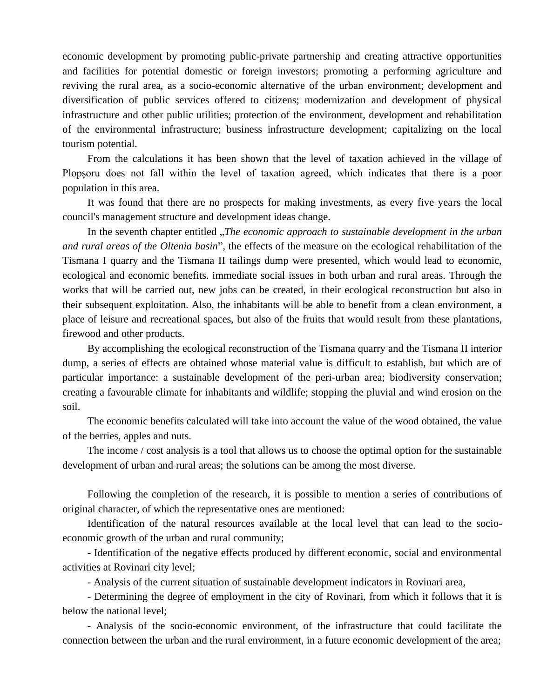economic development by promoting public-private partnership and creating attractive opportunities and facilities for potential domestic or foreign investors; promoting a performing agriculture and reviving the rural area, as a socio-economic alternative of the urban environment; development and diversification of public services offered to citizens; modernization and development of physical infrastructure and other public utilities; protection of the environment, development and rehabilitation of the environmental infrastructure; business infrastructure development; capitalizing on the local tourism potential.

From the calculations it has been shown that the level of taxation achieved in the village of Plopșoru does not fall within the level of taxation agreed, which indicates that there is a poor population in this area.

It was found that there are no prospects for making investments, as every five years the local council's management structure and development ideas change.

In the seventh chapter entitled "*The economic approach to sustainable development in the urban and rural areas of the Oltenia basin*", the effects of the measure on the ecological rehabilitation of the Tismana I quarry and the Tismana II tailings dump were presented, which would lead to economic, ecological and economic benefits. immediate social issues in both urban and rural areas. Through the works that will be carried out, new jobs can be created, in their ecological reconstruction but also in their subsequent exploitation. Also, the inhabitants will be able to benefit from a clean environment, a place of leisure and recreational spaces, but also of the fruits that would result from these plantations, firewood and other products.

By accomplishing the ecological reconstruction of the Tismana quarry and the Tismana II interior dump, a series of effects are obtained whose material value is difficult to establish, but which are of particular importance: a sustainable development of the peri-urban area; biodiversity conservation; creating a favourable climate for inhabitants and wildlife; stopping the pluvial and wind erosion on the soil.

The economic benefits calculated will take into account the value of the wood obtained, the value of the berries, apples and nuts.

The income / cost analysis is a tool that allows us to choose the optimal option for the sustainable development of urban and rural areas; the solutions can be among the most diverse.

Following the completion of the research, it is possible to mention a series of contributions of original character, of which the representative ones are mentioned:

Identification of the natural resources available at the local level that can lead to the socioeconomic growth of the urban and rural community;

- Identification of the negative effects produced by different economic, social and environmental activities at Rovinari city level;

- Analysis of the current situation of sustainable development indicators in Rovinari area,

- Determining the degree of employment in the city of Rovinari, from which it follows that it is below the national level;

- Analysis of the socio-economic environment, of the infrastructure that could facilitate the connection between the urban and the rural environment, in a future economic development of the area;